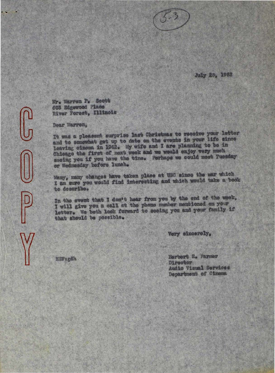

July 28, 1952

Mr. Warren P. Soott 603 Edgewood Place River Forest, Illinois

Dear Warren,

It was a pleasent surprise last Christmas to receive your letter and to somewhat get up to date on the events in your life since leaving cinema in 1942. My wife and I are planning to be in Chicago the first of next week and we would enjoy very much seeing you if you have the time. Perhaps we could meet Tuesday or Wednesday before lunch.

Many, many changes have taken place at USC since the war which I am sure you would find interesting and which would take a book to describe.

In the event that I don't hear from you by the end of the week, I will give you a call at the phone number membioned on your letter. We both look forward to seeing you and your family if that should be possible.

Very sincerely.

HEF: gdh

Herbert E. Farmer Director Audio Visual Services Department of Cinema